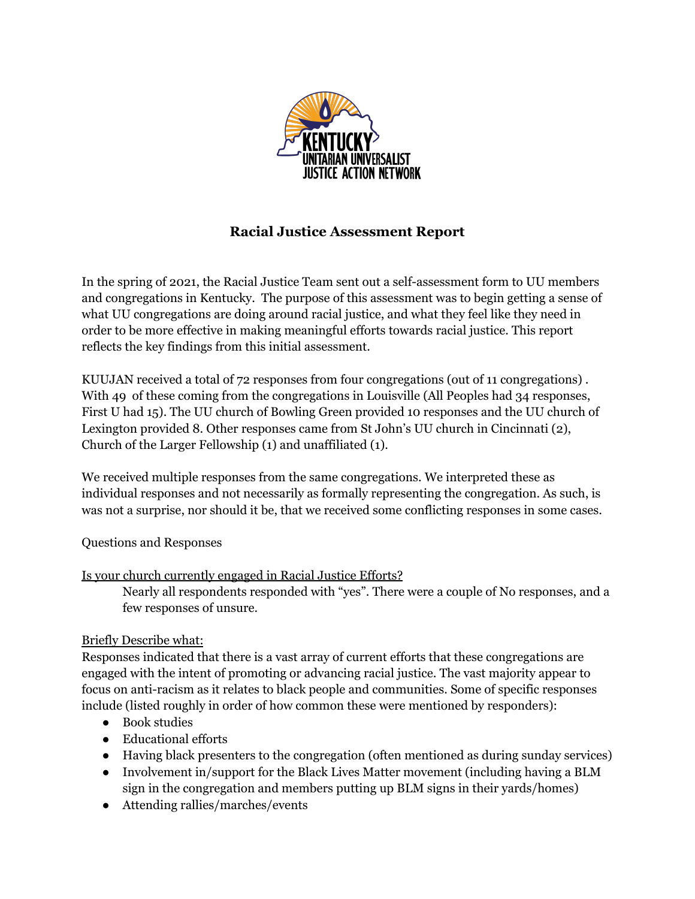

# **Racial Justice Assessment Report**

In the spring of 2021, the Racial Justice Team sent out a self-assessment form to UU members and congregations in Kentucky. The purpose of this assessment was to begin getting a sense of what UU congregations are doing around racial justice, and what they feel like they need in order to be more effective in making meaningful efforts towards racial justice. This report reflects the key findings from this initial assessment.

KUUJAN received a total of 72 responses from four congregations (out of 11 congregations) . With 49 of these coming from the congregations in Louisville (All Peoples had 34 responses, First U had 15). The UU church of Bowling Green provided 10 responses and the UU church of Lexington provided 8. Other responses came from St John's UU church in Cincinnati (2), Church of the Larger Fellowship (1) and unaffiliated (1).

We received multiple responses from the same congregations. We interpreted these as individual responses and not necessarily as formally representing the congregation. As such, is was not a surprise, nor should it be, that we received some conflicting responses in some cases.

#### Questions and Responses

#### Is your church currently engaged in Racial Justice Efforts?

Nearly all respondents responded with "yes". There were a couple of No responses, and a few responses of unsure.

#### Briefly Describe what:

Responses indicated that there is a vast array of current efforts that these congregations are engaged with the intent of promoting or advancing racial justice. The vast majority appear to focus on anti-racism as it relates to black people and communities. Some of specific responses include (listed roughly in order of how common these were mentioned by responders):

- Book studies
- Educational efforts
- Having black presenters to the congregation (often mentioned as during sunday services)
- Involvement in/support for the Black Lives Matter movement (including having a BLM sign in the congregation and members putting up BLM signs in their yards/homes)
- Attending rallies/marches/events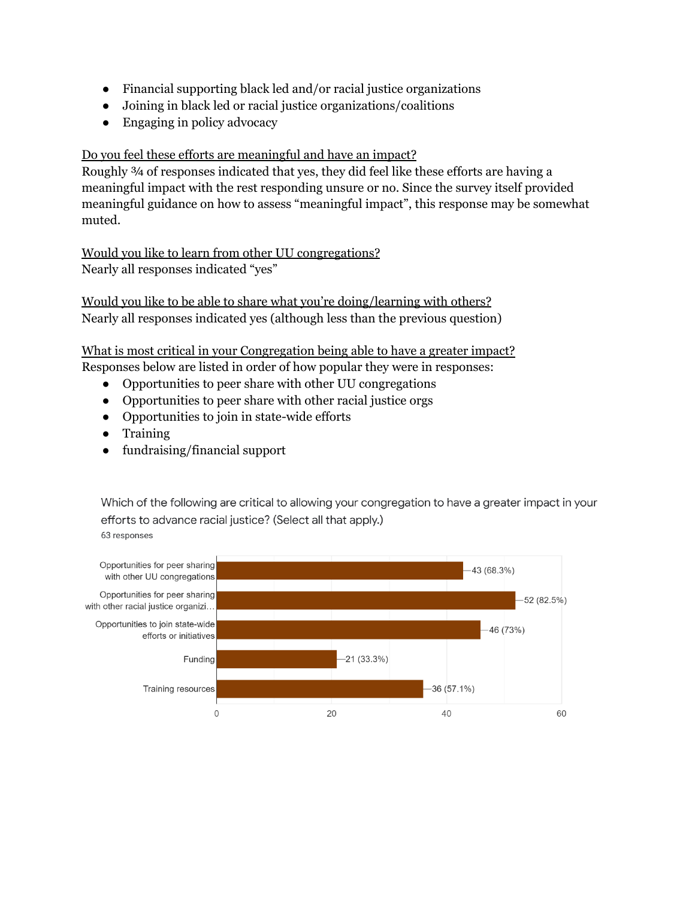- Financial supporting black led and/or racial justice organizations
- Joining in black led or racial justice organizations/coalitions
- Engaging in policy advocacy

### Do you feel these efforts are meaningful and have an impact?

Roughly ¾ of responses indicated that yes, they did feel like these efforts are having a meaningful impact with the rest responding unsure or no. Since the survey itself provided meaningful guidance on how to assess "meaningful impact", this response may be somewhat muted.

Would you like to learn from other UU congregations? Nearly all responses indicated "yes"

Would you like to be able to share what you're doing/learning with others? Nearly all responses indicated yes (although less than the previous question)

What is most critical in your Congregation being able to have a greater impact? Responses below are listed in order of how popular they were in responses:

- Opportunities to peer share with other UU congregations
- Opportunities to peer share with other racial justice orgs
- Opportunities to join in state-wide efforts
- Training
- fundraising/financial support

Which of the following are critical to allowing your congregation to have a greater impact in your efforts to advance racial justice? (Select all that apply.) 63 responses

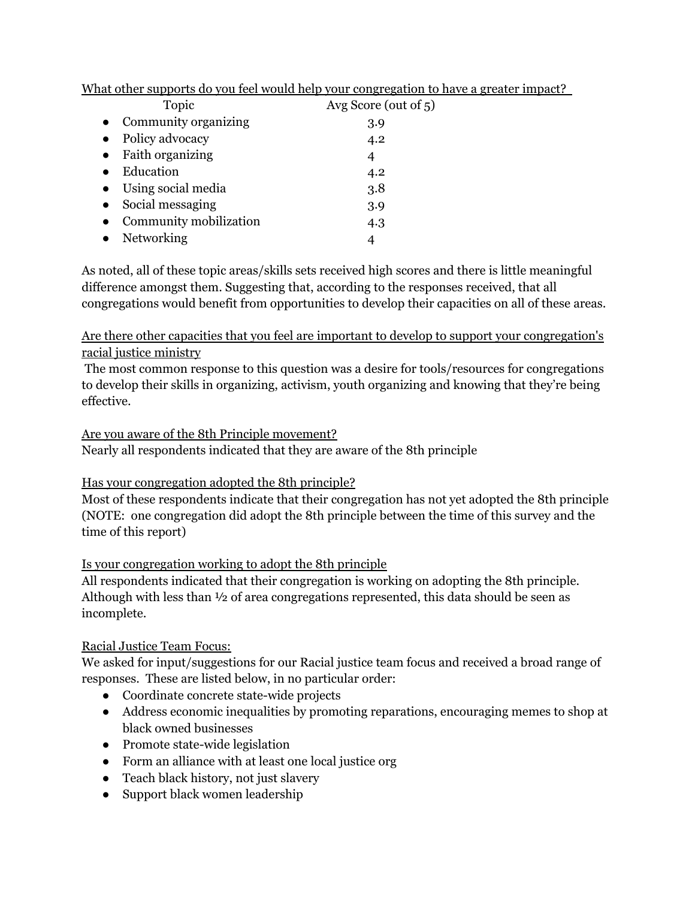| Topic                  | Avg Score (out of $5$ ) |
|------------------------|-------------------------|
| Community organizing   | 3.9                     |
| Policy advocacy        | 4.2                     |
| Faith organizing       | 4                       |
| Education              | 4.2                     |
| Using social media     | 3.8                     |
| Social messaging       | 3.9                     |
| Community mobilization | 4.3                     |
| Networking             | 4                       |
|                        |                         |

What other supports do you feel would help your congregation to have a greater impact?

As noted, all of these topic areas/skills sets received high scores and there is little meaningful difference amongst them. Suggesting that, according to the responses received, that all congregations would benefit from opportunities to develop their capacities on all of these areas.

Are there other capacities that you feel are important to develop to support your congregation's racial justice ministry

The most common response to this question was a desire for tools/resources for congregations to develop their skills in organizing, activism, youth organizing and knowing that they're being effective.

#### Are you aware of the 8th Principle movement?

Nearly all respondents indicated that they are aware of the 8th principle

## Has your congregation adopted the 8th principle?

Most of these respondents indicate that their congregation has not yet adopted the 8th principle (NOTE: one congregation did adopt the 8th principle between the time of this survey and the time of this report)

#### Is your congregation working to adopt the 8th principle

All respondents indicated that their congregation is working on adopting the 8th principle. Although with less than ½ of area congregations represented, this data should be seen as incomplete.

#### Racial Justice Team Focus:

We asked for input/suggestions for our Racial justice team focus and received a broad range of responses. These are listed below, in no particular order:

- Coordinate concrete state-wide projects
- Address economic inequalities by promoting reparations, encouraging memes to shop at black owned businesses
- Promote state-wide legislation
- Form an alliance with at least one local justice org
- Teach black history, not just slavery
- Support black women leadership